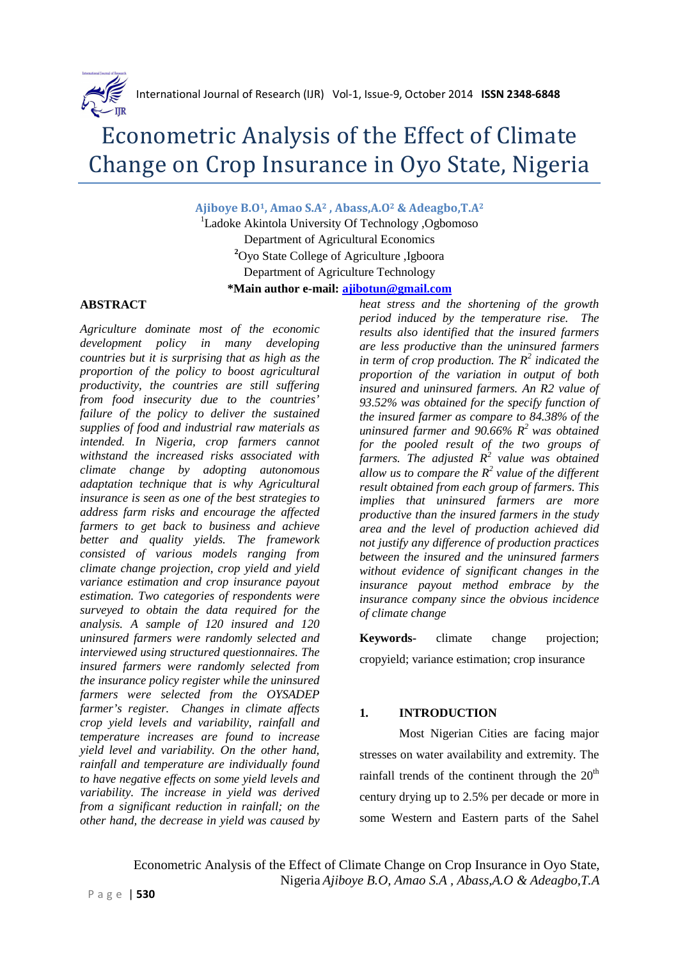

# Econometric Analysis of the Effect of Climate Change on Crop Insurance in Oyo State, Nigeria

**Ajiboye B.O1, Amao S.A2 , Abass,A.O2 & Adeagbo,T.A<sup>2</sup>**

<sup>1</sup>Ladoke Akintola University Of Technology ,Ogbomoso Department of Agricultural Economics **<sup>2</sup>**Oyo State College of Agriculture ,Igboora Department of Agriculture Technology **\*Main author e-mail: ajibotun@gmail.com**

#### **ABSTRACT**

*Agriculture dominate most of the economic development policy in many developing countries but it is surprising that as high as the proportion of the policy to boost agricultural productivity, the countries are still suffering from food insecurity due to the countries' failure of the policy to deliver the sustained supplies of food and industrial raw materials as intended. In Nigeria, crop farmers cannot withstand the increased risks associated with climate change by adopting autonomous adaptation technique that is why Agricultural insurance is seen as one of the best strategies to address farm risks and encourage the affected farmers to get back to business and achieve better and quality yields. The framework consisted of various models ranging from climate change projection, crop yield and yield variance estimation and crop insurance payout estimation. Two categories of respondents were surveyed to obtain the data required for the analysis. A sample of 120 insured and 120 uninsured farmers were randomly selected and interviewed using structured questionnaires. The insured farmers were randomly selected from the insurance policy register while the uninsured farmers were selected from the OYSADEP farmer's register. Changes in climate affects crop yield levels and variability, rainfall and temperature increases are found to increase yield level and variability. On the other hand, rainfall and temperature are individually found to have negative effects on some yield levels and variability. The increase in yield was derived from a significant reduction in rainfall; on the other hand, the decrease in yield was caused by* 

*heat stress and the shortening of the growth period induced by the temperature rise. The results also identified that the insured farmers are less productive than the uninsured farmers in term of crop production. The R<sup>2</sup> indicated the proportion of the variation in output of both insured and uninsured farmers. An R2 value of 93.52% was obtained for the specify function of the insured farmer as compare to 84.38% of the uninsured farmer and 90.66% R<sup>2</sup>was obtained for the pooled result of the two groups of farmers. The adjusted R<sup>2</sup> value was obtained*  allow us to compare the  $R^2$  value of the different *result obtained from each group of farmers. This implies that uninsured farmers are more productive than the insured farmers in the study area and the level of production achieved did not justify any difference of production practices between the insured and the uninsured farmers without evidence of significant changes in the insurance payout method embrace by the insurance company since the obvious incidence of climate change* 

**Keywords-** climate change projection; cropyield; variance estimation; crop insurance

#### **1. INTRODUCTION**

Most Nigerian Cities are facing major stresses on water availability and extremity. The rainfall trends of the continent through the  $20<sup>th</sup>$ century drying up to 2.5% per decade or more in some Western and Eastern parts of the Sahel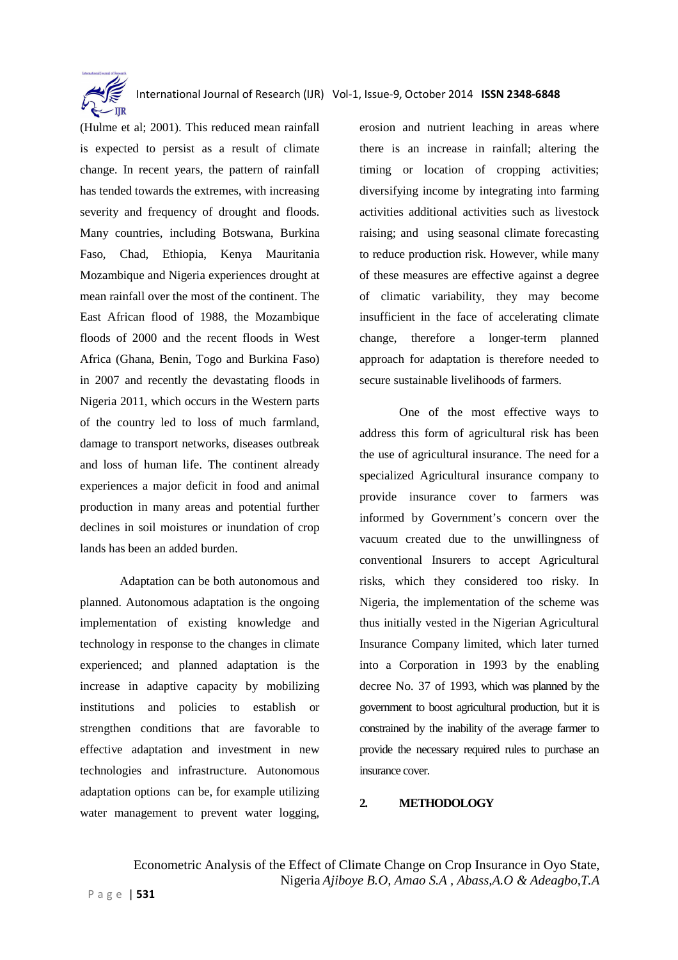

(Hulme et al; 2001). This reduced mean rainfall is expected to persist as a result of climate change. In recent years, the pattern of rainfall has tended towards the extremes, with increasing severity and frequency of drought and floods. Many countries, including Botswana, Burkina Faso, Chad, Ethiopia, Kenya Mauritania Mozambique and Nigeria experiences drought at mean rainfall over the most of the continent. The East African flood of 1988, the Mozambique floods of 2000 and the recent floods in West Africa (Ghana, Benin, Togo and Burkina Faso) in 2007 and recently the devastating floods in Nigeria 2011, which occurs in the Western parts of the country led to loss of much farmland, damage to transport networks, diseases outbreak and loss of human life. The continent already experiences a major deficit in food and animal production in many areas and potential further declines in soil moistures or inundation of crop lands has been an added burden.

Adaptation can be both autonomous and planned. Autonomous adaptation is the ongoing implementation of existing knowledge and technology in response to the changes in climate experienced; and planned adaptation is the increase in adaptive capacity by mobilizing institutions and policies to establish or strengthen conditions that are favorable to effective adaptation and investment in new technologies and infrastructure. Autonomous adaptation options can be, for example utilizing water management to prevent water logging,

erosion and nutrient leaching in areas where there is an increase in rainfall; altering the timing or location of cropping activities: diversifying income by integrating into farming activities additional activities such as livestock raising; and using seasonal climate forecasting to reduce production risk. However, while many of these measures are effective against a degree of climatic variability, they may become insufficient in the face of accelerating climate change, therefore a longer-term planned approach for adaptation is therefore needed to secure sustainable livelihoods of farmers.

One of the most effective ways to address this form of agricultural risk has been the use of agricultural insurance. The need for a specialized Agricultural insurance company to provide insurance cover to farmers was informed by Government's concern over the vacuum created due to the unwillingness of conventional Insurers to accept Agricultural risks, which they considered too risky. In Nigeria, the implementation of the scheme was thus initially vested in the Nigerian Agricultural Insurance Company limited, which later turned into a Corporation in 1993 by the enabling decree No. 37 of 1993, which was planned by the government to boost agricultural production, but it is constrained by the inability of the average farmer to provide the necessary required rules to purchase an insurance cover.

#### **2. METHODOLOGY**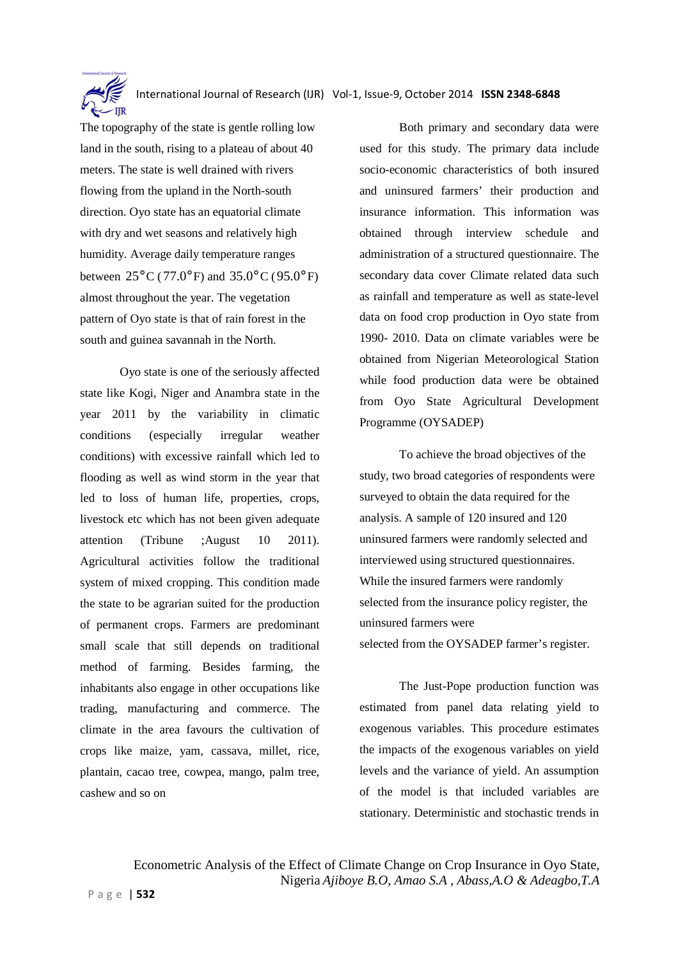

The topography of the state is gentle rolling low land in the south, rising to a plateau of about 40 meters. The state is well drained with rivers flowing from the upland in the North-south direction. Oyo state has an equatorial climate with dry and wet seasons and relatively high humidity. Average daily temperature ranges between  $25^{\circ}$  C (77.0° F) and 35.0° C (95.0° F) almost throughout the year. The vegetation pattern of Oyo state is that of rain forest in the south and guinea savannah in the North.

Oyo state is one of the seriously affected state like Kogi, Niger and Anambra state in the year 2011 by the variability in climatic conditions (especially irregular weather conditions) with excessive rainfall which led to flooding as well as wind storm in the year that led to loss of human life, properties, crops, livestock etc which has not been given adequate attention (Tribune ;August 10 2011). Agricultural activities follow the traditional system of mixed cropping. This condition made the state to be agrarian suited for the production of permanent crops. Farmers are predominant small scale that still depends on traditional method of farming. Besides farming, the inhabitants also engage in other occupations like trading, manufacturing and commerce. The climate in the area favours the cultivation of crops like maize, yam, cassava, millet, rice, plantain, cacao tree, cowpea, mango, palm tree, cashew and so on

Both primary and secondary data were used for this study. The primary data include socio-economic characteristics of both insured and uninsured farmers' their production and insurance information. This information was obtained through interview schedule and administration of a structured questionnaire. The secondary data cover Climate related data such as rainfall and temperature as well as state-level data on food crop production in Oyo state from 1990- 2010. Data on climate variables were be obtained from Nigerian Meteorological Station while food production data were be obtained from Oyo State Agricultural Development Programme (OYSADEP)

To achieve the broad objectives of the study, two broad categories of respondents were surveyed to obtain the data required for the analysis. A sample of 120 insured and 120 uninsured farmers were randomly selected and interviewed using structured questionnaires. While the insured farmers were randomly selected from the insurance policy register, the uninsured farmers were selected from the OYSADEP farmer's register.

The Just-Pope production function was estimated from panel data relating yield to exogenous variables. This procedure estimates the impacts of the exogenous variables on yield levels and the variance of yield. An assumption of the model is that included variables are stationary. Deterministic and stochastic trends in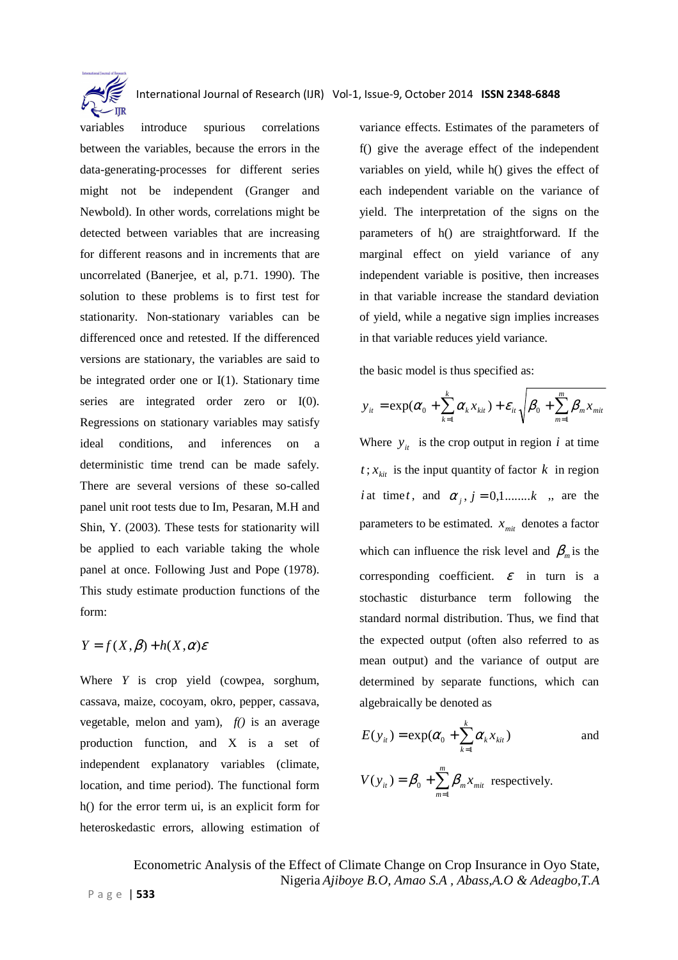

variables introduce spurious correlations between the variables, because the errors in the data-generating-processes for different series might not be independent (Granger and Newbold). In other words, correlations might be detected between variables that are increasing for different reasons and in increments that are uncorrelated (Banerjee, et al, p.71. 1990). The solution to these problems is to first test for stationarity. Non-stationary variables can be differenced once and retested. If the differenced versions are stationary, the variables are said to be integrated order one or I(1). Stationary time series are integrated order zero or I(0). Regressions on stationary variables may satisfy ideal conditions, and inferences on a deterministic time trend can be made safely. There are several versions of these so-called panel unit root tests due to Im, Pesaran, M.H and Shin, Y. (2003). These tests for stationarity will be applied to each variable taking the whole panel at once. Following Just and Pope (1978). This study estimate production functions of the form:

$$
Y = f(X, \beta) + h(X, \alpha)\varepsilon
$$

Where *Y* is crop yield (cowpea, sorghum, cassava, maize, cocoyam, okro, pepper, cassava, vegetable, melon and yam), *f()* is an average production function, and X is a set of independent explanatory variables (climate, location, and time period). The functional form h() for the error term ui, is an explicit form for heteroskedastic errors, allowing estimation of

variance effects. Estimates of the parameters of f() give the average effect of the independent variables on yield, while h() gives the effect of each independent variable on the variance of yield. The interpretation of the signs on the parameters of h() are straightforward. If the marginal effect on yield variance of any independent variable is positive, then increases in that variable increase the standard deviation of yield, while a negative sign implies increases in that variable reduces yield variance.

the basic model is thus specified as:

$$
y_{it} = \exp(\alpha_0 + \sum_{k=1}^{k} \alpha_k x_{kit}) + \varepsilon_{it} \sqrt{\beta_0 + \sum_{m=1}^{m} \beta_m x_{mit}}
$$

Where  $y_i$  is the crop output in region *i* at time  $t$ ;  $x_{\text{kit}}$  is the input quantity of factor  $k$  in region *i* at time *t*, and  $\alpha_i$ ,  $j = 0, 1, \dots, k$ , are the parameters to be estimated.  $x_{\text{mit}}$  denotes a factor which can influence the risk level and  $\beta_m$  is the corresponding coefficient.  $\varepsilon$  in turn is a stochastic disturbance term following the standard normal distribution. Thus, we find that the expected output (often also referred to as mean output) and the variance of output are determined by separate functions, which can algebraically be denoted as

$$
E(y_{it}) = \exp(\alpha_0 + \sum_{k=1}^{k} \alpha_k x_{kit})
$$
 and

$$
V(y_{it}) = \beta_0 + \sum_{m=1}^{m} \beta_m x_{mit}
$$
 respectively.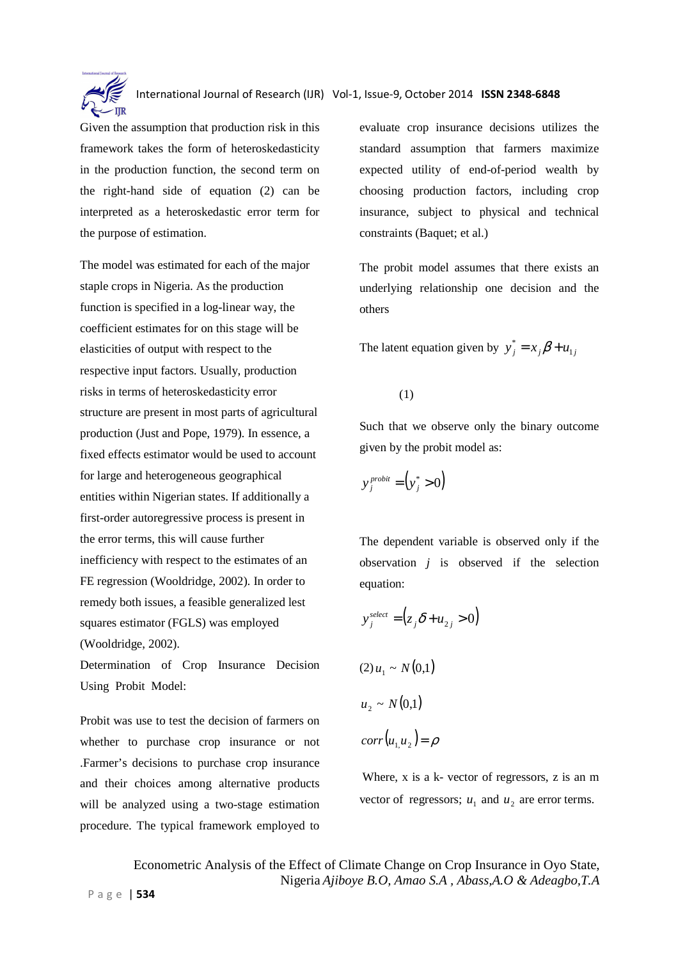

Given the assumption that production risk in this framework takes the form of heteroskedasticity in the production function, the second term on the right-hand side of equation (2) can be interpreted as a heteroskedastic error term for the purpose of estimation.

The model was estimated for each of the major staple crops in Nigeria. As the production function is specified in a log-linear way, the coefficient estimates for on this stage will be elasticities of output with respect to the respective input factors. Usually, production risks in terms of heteroskedasticity error structure are present in most parts of agricultural production (Just and Pope, 1979). In essence, a fixed effects estimator would be used to account for large and heterogeneous geographical entities within Nigerian states. If additionally a first-order autoregressive process is present in the error terms, this will cause further inefficiency with respect to the estimates of an FE regression (Wooldridge, 2002). In order to remedy both issues, a feasible generalized lest squares estimator (FGLS) was employed (Wooldridge, 2002).

Determination of Crop Insurance Decision Using Probit Model:

Probit was use to test the decision of farmers on whether to purchase crop insurance or not .Farmer's decisions to purchase crop insurance and their choices among alternative products will be analyzed using a two-stage estimation procedure. The typical framework employed to

evaluate crop insurance decisions utilizes the standard assumption that farmers maximize expected utility of end-of-period wealth by choosing production factors, including crop insurance, subject to physical and technical constraints (Baquet; et al.)

The probit model assumes that there exists an underlying relationship one decision and the others

The latent equation given by  $y_j^* = x_j \beta + u_{1j}$ 

(1)

Such that we observe only the binary outcome given by the probit model as:

$$
y_j^{\text{probit}} = \left(y_j^* > 0\right)
$$

The dependent variable is observed only if the observation *j* is observed if the selection equation:

$$
y_j^{\text{select}} = (z_j \delta + u_{2j} > 0)
$$

$$
(2) u1 \sim N(0,1)
$$
  

$$
u2 \sim N(0,1)
$$
  

$$
corr(u1, u2) = \rho
$$

Where, x is a k- vector of regressors, z is an m vector of regressors;  $u_1$  and  $u_2$  are error terms.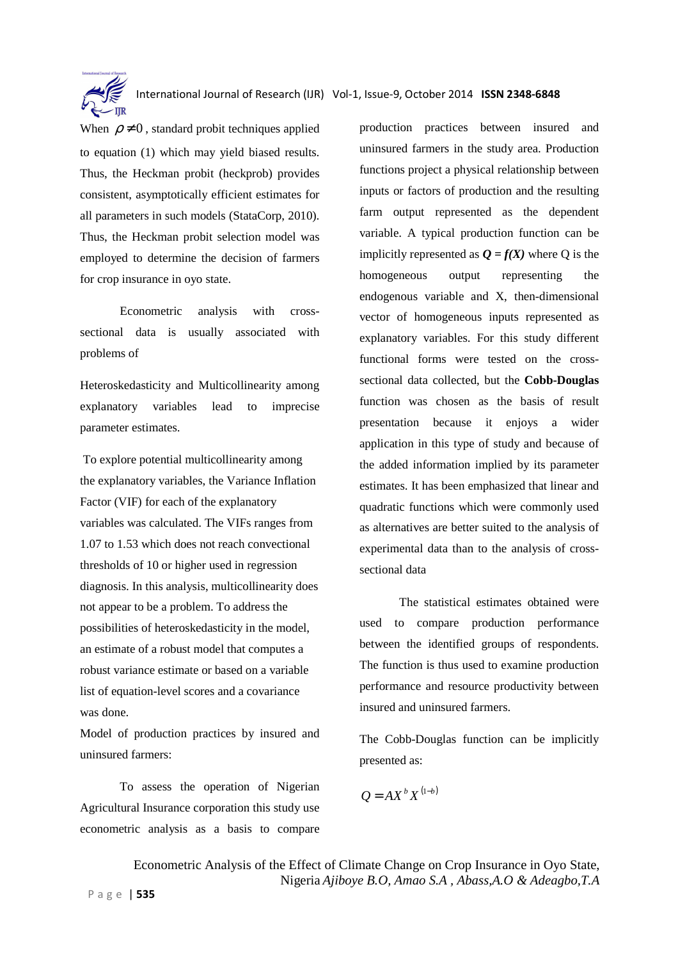

When  $\rho \neq 0$ , standard probit techniques applied to equation (1) which may yield biased results. Thus, the Heckman probit (heckprob) provides consistent, asymptotically efficient estimates for all parameters in such models (StataCorp, 2010). Thus, the Heckman probit selection model was employed to determine the decision of farmers for crop insurance in oyo state.

Econometric analysis with crosssectional data is usually associated with problems of

Heteroskedasticity and Multicollinearity among explanatory variables lead to imprecise parameter estimates.

 To explore potential multicollinearity among the explanatory variables, the Variance Inflation Factor (VIF) for each of the explanatory variables was calculated. The VIFs ranges from 1.07 to 1.53 which does not reach convectional thresholds of 10 or higher used in regression diagnosis. In this analysis, multicollinearity does not appear to be a problem. To address the possibilities of heteroskedasticity in the model, an estimate of a robust model that computes a robust variance estimate or based on a variable list of equation-level scores and a covariance was done.

Model of production practices by insured and uninsured farmers:

To assess the operation of Nigerian Agricultural Insurance corporation this study use econometric analysis as a basis to compare production practices between insured and uninsured farmers in the study area. Production functions project a physical relationship between inputs or factors of production and the resulting farm output represented as the dependent variable. A typical production function can be implicitly represented as  $Q = f(X)$  where Q is the homogeneous output representing the endogenous variable and X, then-dimensional vector of homogeneous inputs represented as explanatory variables. For this study different functional forms were tested on the crosssectional data collected, but the **Cobb-Douglas** function was chosen as the basis of result presentation because it enjoys a wider application in this type of study and because of the added information implied by its parameter estimates. It has been emphasized that linear and quadratic functions which were commonly used as alternatives are better suited to the analysis of experimental data than to the analysis of crosssectional data

The statistical estimates obtained were used to compare production performance between the identified groups of respondents. The function is thus used to examine production performance and resource productivity between insured and uninsured farmers.

The Cobb-Douglas function can be implicitly presented as:

$$
Q = AX^b X^{(1-b)}
$$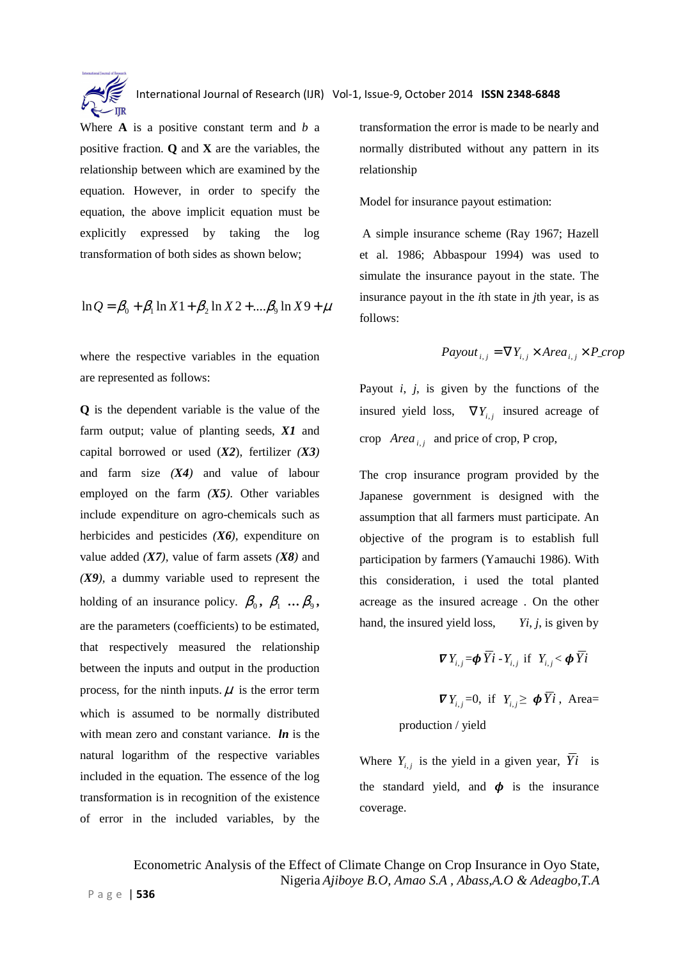

Where **A** is a positive constant term and *b* a positive fraction. **Q** and **X** are the variables, the relationship between which are examined by the equation. However, in order to specify the equation, the above implicit equation must be explicitly expressed by taking the log transformation of both sides as shown below;

$$
\ln Q = \beta_0 + \beta_1 \ln X \cdot 1 + \beta_2 \ln X \cdot 2 + \dots + \beta_9 \ln X \cdot 9 + \mu
$$

where the respective variables in the equation are represented as follows:

**Q** is the dependent variable is the value of the farm output; value of planting seeds, *X1* and capital borrowed or used (*X2*), fertilizer *(X3)*  and farm size *(X4)* and value of labour employed on the farm *(X5).* Other variables include expenditure on agro-chemicals such as herbicides and pesticides *(X6),* expenditure on value added *(X7),* value of farm assets *(X8)* and *(X9),* a dummy variable used to represent the holding of an insurance policy.  $\beta_0$ ,  $\beta_1$  ...  $\beta_9$ , are the parameters (coefficients) to be estimated, that respectively measured the relationship between the inputs and output in the production process, for the ninth inputs.  $\mu$  is the error term which is assumed to be normally distributed with mean zero and constant variance. *ln* is the natural logarithm of the respective variables included in the equation. The essence of the log transformation is in recognition of the existence of error in the included variables, by the transformation the error is made to be nearly and normally distributed without any pattern in its relationship

Model for insurance payout estimation:

 A simple insurance scheme (Ray 1967; Hazell et al. 1986; Abbaspour 1994) was used to simulate the insurance payout in the state. The insurance payout in the *i*th state in *j*th year, is as follows:

$$
Payout_{i,j} = \nabla Y_{i,j} \times Area_{i,j} \times P\_crop
$$

Payout  $i$ ,  $j$ , is given by the functions of the insured yield loss,  $\nabla Y_{i,j}$  insured acreage of crop  $Area_{i,j}$  and price of crop, P crop,

The crop insurance program provided by the Japanese government is designed with the assumption that all farmers must participate. An objective of the program is to establish full participation by farmers (Yamauchi 1986). With this consideration, i used the total planted acreage as the insured acreage . On the other hand, the insured yield loss, *Yi*, *j*, is given by

$$
\boldsymbol{\nabla} Y_{i,j} = \boldsymbol{\phi} \, \overline{Y} \boldsymbol{i} - Y_{i,j} \, \text{ if } Y_{i,j} < \boldsymbol{\phi} \, \overline{Y} \boldsymbol{i}
$$

 $\nabla Y_{i,j} = 0$ , if  $Y_{i,j} \ge \phi \overline{Y}i$ , Area= production / yield

Where  $Y_{i,j}$  is the yield in a given year,  $Y_i$  is the standard yield, and  $\phi$  is the insurance coverage.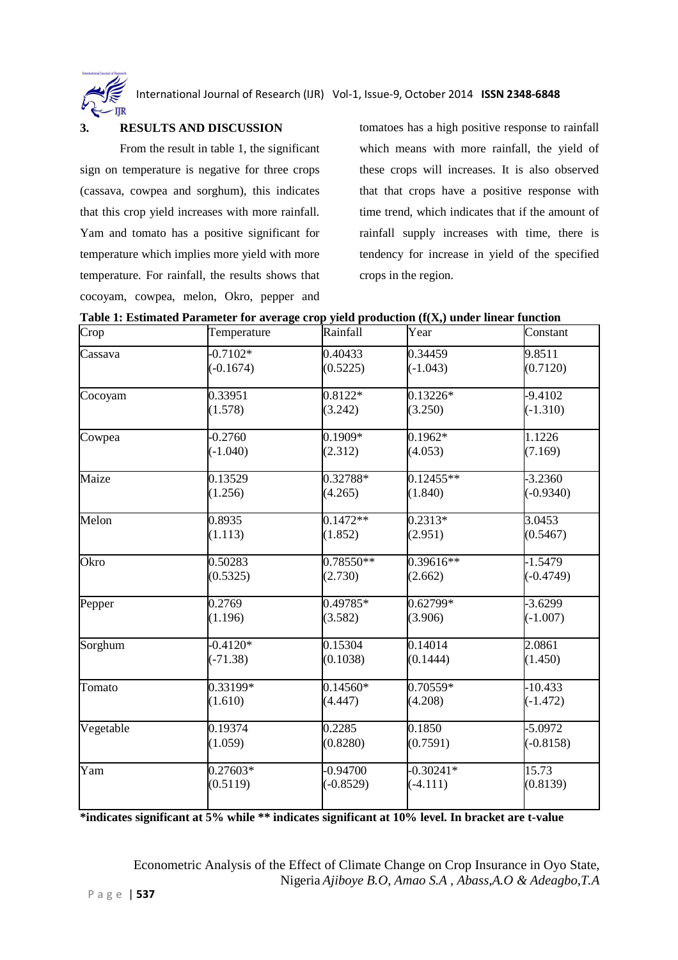

#### **3. RESULTS AND DISCUSSION**

From the result in table 1, the significant sign on temperature is negative for three crops (cassava, cowpea and sorghum), this indicates that this crop yield increases with more rainfall. Yam and tomato has a positive significant for temperature which implies more yield with more temperature. For rainfall, the results shows that cocoyam, cowpea, melon, Okro, pepper and

tomatoes has a high positive response to rainfall which means with more rainfall, the yield of these crops will increases. It is also observed that that crops have a positive response with time trend, which indicates that if the amount of rainfall supply increases with time, there is tendency for increase in yield of the specified crops in the region.

| Crop      | Temperature | Rainfall    | Year        | Constant            |
|-----------|-------------|-------------|-------------|---------------------|
| Cassava   | $-0.7102*$  | 0.40433     | 0.34459     | 9.8511              |
|           | $(-0.1674)$ | (0.5225)    | $(-1.043)$  | (0.7120)            |
| Cocoyam   | 0.33951     | $0.8122*$   | $0.13226*$  | $-9.4102$           |
|           | (1.578)     | (3.242)     | (3.250)     | $(-1.310)$          |
| Cowpea    | $-0.2760$   | $0.1909*$   | $0.1962*$   | 1.1226              |
|           | $(-1.040)$  | (2.312)     | (4.053)     | (7.169)             |
| Maize     | 0.13529     | $0.32788*$  | $0.12455**$ | $-3.2360$           |
|           | (1.256)     | (4.265)     | (1.840)     | $(-0.9340)$         |
| Melon     | 0.8935      | $0.1472**$  | $0.2313*$   | 3.0453              |
|           | (1.113)     | (1.852)     | (2.951)     | (0.5467)            |
| Okro      | 0.50283     | $0.78550**$ | 0.39616**   | $-1.5479$           |
|           | (0.5325)    | (2.730)     | (2.662)     | $(-0.4749)$         |
| Pepper    | 0.2769      | 0.49785*    | 0.62799*    | $-3.6299$           |
|           | (1.196)     | (3.582)     | (3.906)     | $(-1.007)$          |
| Sorghum   | $-0.4120*$  | 0.15304     | 0.14014     | $2.\overline{0861}$ |
|           | $(-71.38)$  | (0.1038)    | (0.1444)    | (1.450)             |
| Tomato    | $0.33199*$  | $0.14560*$  | $0.70559*$  | $-10.433$           |
|           | (1.610)     | (4.447)     | (4.208)     | $(-1.472)$          |
| Vegetable | 0.19374     | 0.2285      | 0.1850      | $-5.0972$           |
|           | (1.059)     | (0.8280)    | (0.7591)    | $(-0.8158)$         |
| Yam       | 0.27603*    | 0.94700     | $-0.30241*$ | 15.73               |
|           | (0.5119)    | $(-0.8529)$ | $(-4.111)$  | (0.8139)            |

**Table 1: Estimated Parameter for average crop yield production (f(X,) under linear function** 

**\*indicates significant at 5% while \*\* indicates significant at 10% level. In bracket are t-value**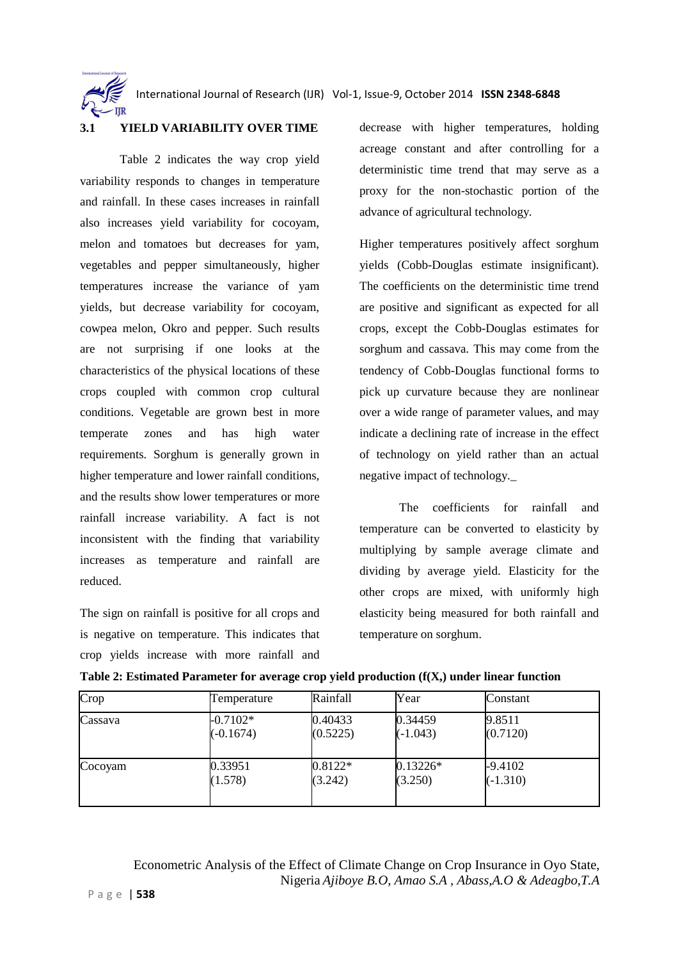#### **3.1 YIELD VARIABILITY OVER TIME**

Table 2 indicates the way crop yield variability responds to changes in temperature and rainfall. In these cases increases in rainfall also increases yield variability for cocoyam, melon and tomatoes but decreases for yam, vegetables and pepper simultaneously, higher temperatures increase the variance of yam yields, but decrease variability for cocoyam, cowpea melon, Okro and pepper. Such results are not surprising if one looks at the characteristics of the physical locations of these crops coupled with common crop cultural conditions. Vegetable are grown best in more temperate zones and has high water requirements. Sorghum is generally grown in higher temperature and lower rainfall conditions, and the results show lower temperatures or more rainfall increase variability. A fact is not inconsistent with the finding that variability increases as temperature and rainfall are reduced.

The sign on rainfall is positive for all crops and is negative on temperature. This indicates that crop yields increase with more rainfall and

decrease with higher temperatures, holding acreage constant and after controlling for a deterministic time trend that may serve as a proxy for the non-stochastic portion of the advance of agricultural technology.

Higher temperatures positively affect sorghum yields (Cobb-Douglas estimate insignificant). The coefficients on the deterministic time trend are positive and significant as expected for all crops, except the Cobb-Douglas estimates for sorghum and cassava. This may come from the tendency of Cobb-Douglas functional forms to pick up curvature because they are nonlinear over a wide range of parameter values, and may indicate a declining rate of increase in the effect of technology on yield rather than an actual negative impact of technology.*\_* 

The coefficients for rainfall and temperature can be converted to elasticity by multiplying by sample average climate and dividing by average yield. Elasticity for the other crops are mixed, with uniformly high elasticity being measured for both rainfall and temperature on sorghum.

| Table 2: Estimated Parameter for average crop yield production $(f(X))$ under linear function |  |  |
|-----------------------------------------------------------------------------------------------|--|--|
|                                                                                               |  |  |

| Crop    | Temperature | Rainfall  | Year       | Constant   |
|---------|-------------|-----------|------------|------------|
| Cassava | $-0.7102*$  | 0.40433   | 0.34459    | 9.8511     |
|         | $(-0.1674)$ | (0.5225)  | $(-1.043)$ | (0.7120)   |
| Cocoyam | 0.33951     | $0.8122*$ | $0.13226*$ | $-9.4102$  |
|         | (1.578)     | (3.242)   | (3.250)    | $(-1.310)$ |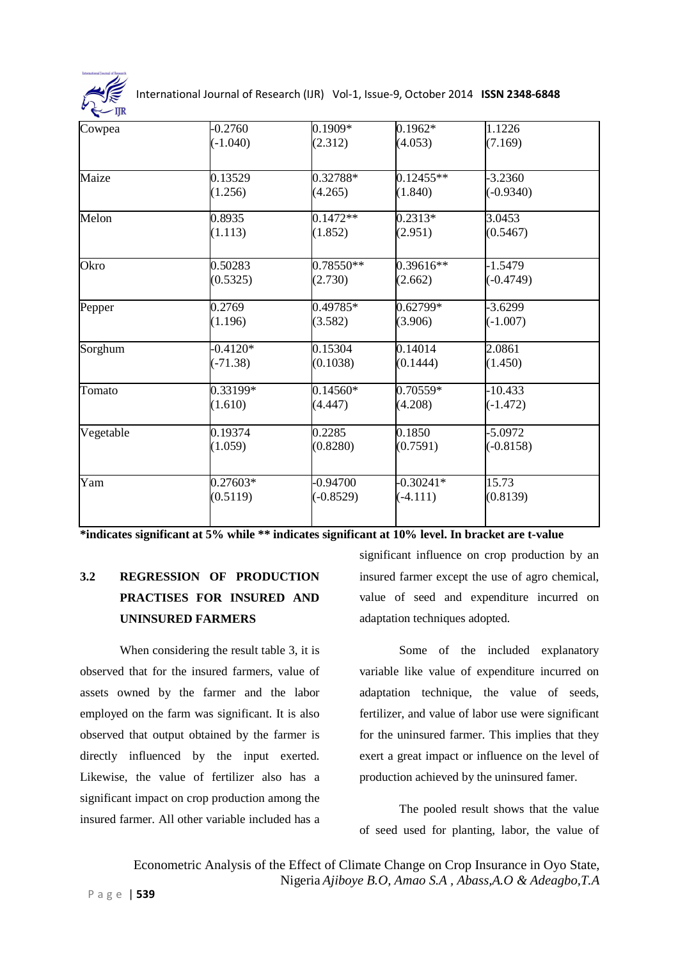

| Cowpea    | $-0.2760$                | 0.1909*                   | $0.1962*$                 | 1.1226                   |  |
|-----------|--------------------------|---------------------------|---------------------------|--------------------------|--|
|           | $(-1.040)$               | (2.312)                   | (4.053)                   | (7.169)                  |  |
| Maize     | 0.13529<br>(1.256)       | 0.32788*<br>(4.265)       | $0.12455**$<br>(1.840)    | $-3.2360$<br>$(-0.9340)$ |  |
| Melon     | 0.8935                   | $0.1472**$                | $0.2313*$                 | 3.0453                   |  |
|           | (1.113)                  | (1.852)                   | (2.951)                   | (0.5467)                 |  |
| Okro      | 0.50283<br>(0.5325)      | $0.78550**$<br>(2.730)    | $0.39616**$<br>(2.662)    | $-1.5479$<br>$(-0.4749)$ |  |
| Pepper    | 0.2769<br>(1.196)        | 0.49785*<br>(3.582)       | 0.62799*<br>(3.906)       | $-3.6299$<br>$(-1.007)$  |  |
| Sorghum   | $-0.4120*$<br>$(-71.38)$ | 0.15304<br>(0.1038)       | 0.14014<br>(0.1444)       | 2.0861<br>(1.450)        |  |
| Tomato    | 0.33199*<br>(1.610)      | $0.14560*$<br>(4.447)     | 0.70559*<br>(4.208)       | $-10.433$<br>$(-1.472)$  |  |
| Vegetable | 0.19374<br>(1.059)       | 0.2285<br>(0.8280)        | 0.1850<br>(0.7591)        | $-5.0972$<br>$(-0.8158)$ |  |
| Yam       | $0.27603*$<br>(0.5119)   | $-0.94700$<br>$(-0.8529)$ | $-0.30241*$<br>$(-4.111)$ | 15.73<br>(0.8139)        |  |

**\*indicates significant at 5% while \*\* indicates significant at 10% level. In bracket are t-value** 

## **3.2 REGRESSION OF PRODUCTION PRACTISES FOR INSURED AND UNINSURED FARMERS**

When considering the result table 3, it is observed that for the insured farmers, value of assets owned by the farmer and the labor employed on the farm was significant. It is also observed that output obtained by the farmer is directly influenced by the input exerted. Likewise, the value of fertilizer also has a significant impact on crop production among the insured farmer. All other variable included has a

significant influence on crop production by an insured farmer except the use of agro chemical, value of seed and expenditure incurred on adaptation techniques adopted.

 Some of the included explanatory variable like value of expenditure incurred on adaptation technique, the value of seeds, fertilizer, and value of labor use were significant for the uninsured farmer. This implies that they exert a great impact or influence on the level of production achieved by the uninsured famer.

 The pooled result shows that the value of seed used for planting, labor, the value of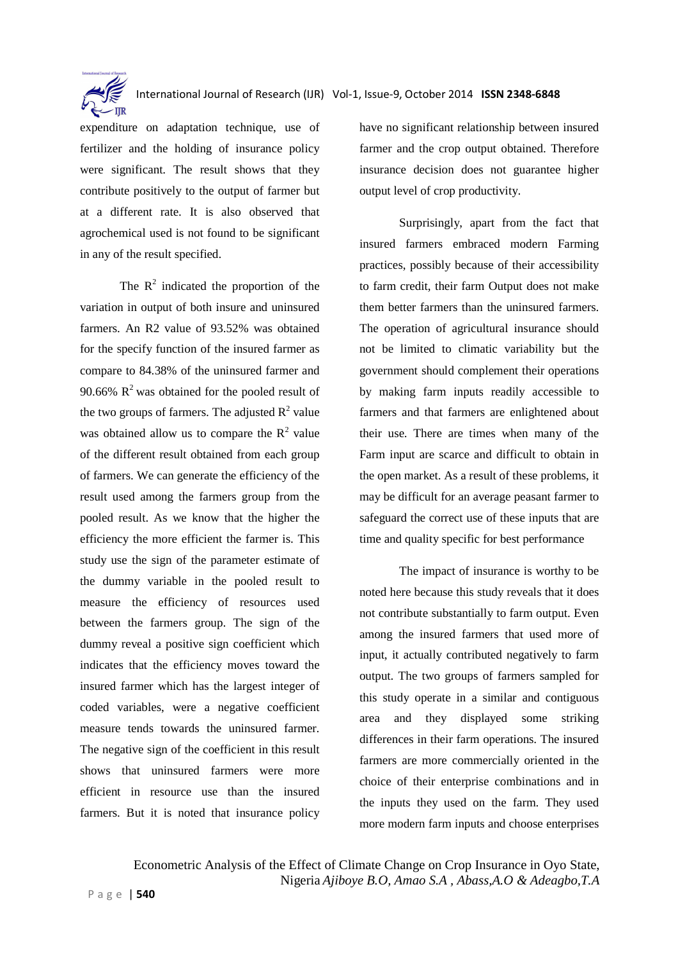

expenditure on adaptation technique, use of fertilizer and the holding of insurance policy were significant. The result shows that they contribute positively to the output of farmer but at a different rate. It is also observed that agrochemical used is not found to be significant in any of the result specified.

The  $\mathbb{R}^2$  indicated the proportion of the variation in output of both insure and uninsured farmers. An R2 value of 93.52% was obtained for the specify function of the insured farmer as compare to 84.38% of the uninsured farmer and 90.66%  $R^2$  was obtained for the pooled result of the two groups of farmers. The adjusted  $R^2$  value was obtained allow us to compare the  $R^2$  value of the different result obtained from each group of farmers. We can generate the efficiency of the result used among the farmers group from the pooled result. As we know that the higher the efficiency the more efficient the farmer is. This study use the sign of the parameter estimate of the dummy variable in the pooled result to measure the efficiency of resources used between the farmers group. The sign of the dummy reveal a positive sign coefficient which indicates that the efficiency moves toward the insured farmer which has the largest integer of coded variables, were a negative coefficient measure tends towards the uninsured farmer. The negative sign of the coefficient in this result shows that uninsured farmers were more efficient in resource use than the insured farmers. But it is noted that insurance policy

have no significant relationship between insured farmer and the crop output obtained. Therefore insurance decision does not guarantee higher output level of crop productivity.

Surprisingly, apart from the fact that insured farmers embraced modern Farming practices, possibly because of their accessibility to farm credit, their farm Output does not make them better farmers than the uninsured farmers. The operation of agricultural insurance should not be limited to climatic variability but the government should complement their operations by making farm inputs readily accessible to farmers and that farmers are enlightened about their use. There are times when many of the Farm input are scarce and difficult to obtain in the open market. As a result of these problems, it may be difficult for an average peasant farmer to safeguard the correct use of these inputs that are time and quality specific for best performance

The impact of insurance is worthy to be noted here because this study reveals that it does not contribute substantially to farm output. Even among the insured farmers that used more of input, it actually contributed negatively to farm output. The two groups of farmers sampled for this study operate in a similar and contiguous area and they displayed some striking differences in their farm operations. The insured farmers are more commercially oriented in the choice of their enterprise combinations and in the inputs they used on the farm. They used more modern farm inputs and choose enterprises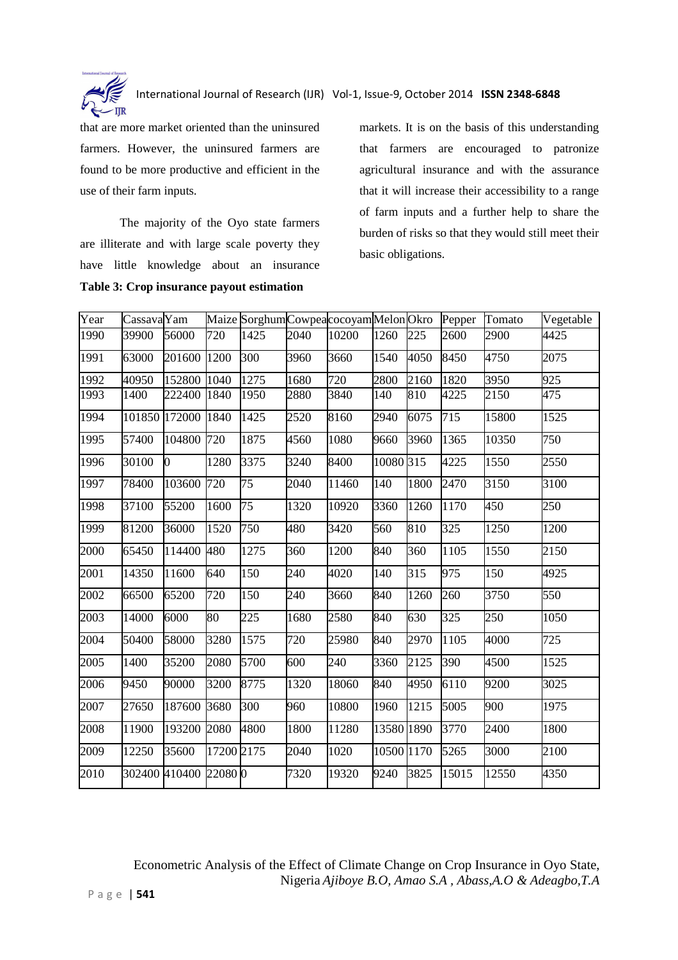

that are more market oriented than the uninsured farmers. However, the uninsured farmers are found to be more productive and efficient in the use of their farm inputs.

The majority of the Oyo state farmers are illiterate and with large scale poverty they have little knowledge about an insurance **Table 3: Crop insurance payout estimation** 

markets. It is on the basis of this understanding that farmers are encouraged to patronize agricultural insurance and with the assurance that it will increase their accessibility to a range of farm inputs and a further help to share the burden of risks so that they would still meet their basic obligations.

| Year | Cassava Yam |                       |            | Maize SorghumCowpeacocoyamMelonOkro |      |       |            |      | Pepper             | Tomato | Vegetable |
|------|-------------|-----------------------|------------|-------------------------------------|------|-------|------------|------|--------------------|--------|-----------|
| 1990 | 39900       | 56000                 | 720        | 1425                                | 2040 | 10200 | 1260       | 225  | 2600               | 2900   | 4425      |
| 1991 | 63000       | 201600                | 1200       | 300                                 | 3960 | 3660  | 1540       | 4050 | 8450               | 4750   | 2075      |
| 1992 | 40950       | 152800                | 1040       | 1275                                | 1680 | 720   | 2800       | 2160 | 1820               | 3950   | 925       |
| 1993 | 1400        | 222400                | 1840       | 1950                                | 2880 | 3840  | 140        | 810  | 4225               | 2150   | 475       |
| 1994 |             | 101850 172000         | 1840       | 1425                                | 2520 | 8160  | 2940       | 6075 | 715                | 15800  | 1525      |
| 1995 | 57400       | 104800                | 720        | 1875                                | 4560 | 1080  | 9660       | 3960 | 1365               | 10350  | 750       |
| 1996 | 30100       | $\overline{0}$        | 1280       | 3375                                | 3240 | 8400  | 10080 315  |      | 4225               | 1550   | 2550      |
| 1997 | 78400       | 103600                | 720        | 75                                  | 2040 | 11460 | 140        | 1800 | 2470               | 3150   | 3100      |
| 1998 | 37100       | 55200                 | 1600       | 75                                  | 1320 | 10920 | 3360       | 1260 | 1170               | 450    | 250       |
| 1999 | 81200       | 36000                 | 1520       | 750                                 | 480  | 3420  | 560        | 810  | 325                | 1250   | 1200      |
| 2000 | 65450       | 114400                | 480        | 1275                                | 360  | 1200  | 840        | 360  | 1105               | 1550   | 2150      |
| 2001 | 14350       | 11600                 | 640        | 150                                 | 240  | 4020  | 140        | 315  | 975                | 150    | 4925      |
| 2002 | 66500       | 65200                 | 720        | 150                                 | 240  | 3660  | 840        | 1260 | 260                | 3750   | 550       |
| 2003 | 14000       | 6000                  | 80         | 225                                 | 1680 | 2580  | 840        | 630  | 325                | 250    | 1050      |
| 2004 | 50400       | 58000                 | 3280       | 1575                                | 720  | 25980 | 840        | 2970 | 1105               | 4000   | 725       |
| 2005 | 1400        | 35200                 | 2080       | 5700                                | 600  | 240   | 3360       | 2125 | 390                | 4500   | 1525      |
| 2006 | 9450        | 90000                 | 3200       | 8775                                | 1320 | 18060 | 840        | 4950 | 6110               | 9200   | 3025      |
| 2007 | 27650       | 187600                | 3680       | 300                                 | 960  | 10800 | 1960       | 1215 | 5005               | 900    | 1975      |
| 2008 | 11900       | 193200                | 2080       | 4800                                | 1800 | 11280 | 13580 1890 |      | 3770               | 2400   | 1800      |
| 2009 | 12250       | 35600                 | 17200 2175 |                                     | 2040 | 1020  | 10500 1170 |      | $\overline{52}$ 65 | 3000   | 2100      |
| 2010 |             | 302400 410400 22080 0 |            |                                     | 7320 | 19320 | 9240       | 3825 | 15015              | 12550  | 4350      |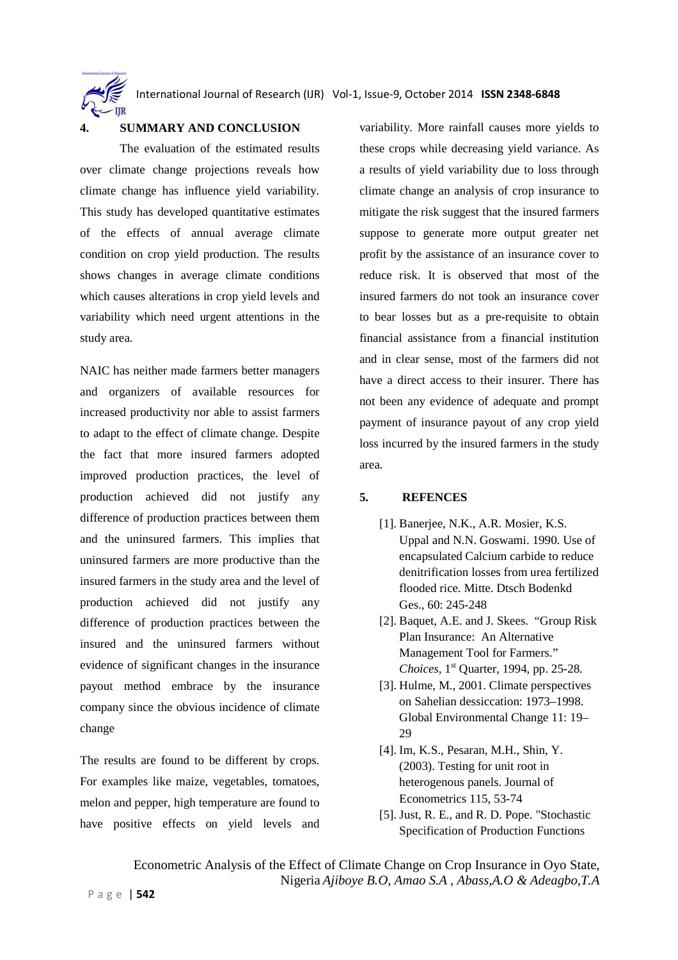

#### **4. SUMMARY AND CONCLUSION**

The evaluation of the estimated results over climate change projections reveals how climate change has influence yield variability. This study has developed quantitative estimates of the effects of annual average climate condition on crop yield production. The results shows changes in average climate conditions which causes alterations in crop yield levels and variability which need urgent attentions in the study area.

NAIC has neither made farmers better managers and organizers of available resources for increased productivity nor able to assist farmers to adapt to the effect of climate change. Despite the fact that more insured farmers adopted improved production practices, the level of production achieved did not justify any difference of production practices between them and the uninsured farmers. This implies that uninsured farmers are more productive than the insured farmers in the study area and the level of production achieved did not justify any difference of production practices between the insured and the uninsured farmers without evidence of significant changes in the insurance payout method embrace by the insurance company since the obvious incidence of climate change

The results are found to be different by crops. For examples like maize, vegetables, tomatoes, melon and pepper, high temperature are found to have positive effects on yield levels and variability. More rainfall causes more yields to these crops while decreasing yield variance. As a results of yield variability due to loss through climate change an analysis of crop insurance to mitigate the risk suggest that the insured farmers suppose to generate more output greater net profit by the assistance of an insurance cover to reduce risk. It is observed that most of the insured farmers do not took an insurance cover to bear losses but as a pre-requisite to obtain financial assistance from a financial institution and in clear sense, most of the farmers did not have a direct access to their insurer. There has not been any evidence of adequate and prompt payment of insurance payout of any crop yield loss incurred by the insured farmers in the study area.

#### **5. REFENCES**

- [1]. Banerjee, N.K., A.R. Mosier, K.S. Uppal and N.N. Goswami. 1990. Use of encapsulated Calcium carbide to reduce denitrification losses from urea fertilized flooded rice. Mitte. Dtsch Bodenkd Ges., 60: 245-248
- [2]. Baquet, A.E. and J. Skees. "Group Risk Plan Insurance: An Alternative Management Tool for Farmers." *Choices*, 1<sup>st</sup> Quarter, 1994, pp. 25-28.
- [3]. Hulme, M., 2001. Climate perspectives on Sahelian dessiccation: 1973–1998. Global Environmental Change 11: 19– 29
- [4]. Im, K.S., Pesaran, M.H., Shin, Y. (2003). Testing for unit root in heterogenous panels. Journal of Econometrics 115, 53-74
- [5]. Just, R. E., and R. D. Pope. "Stochastic Specification of Production Functions